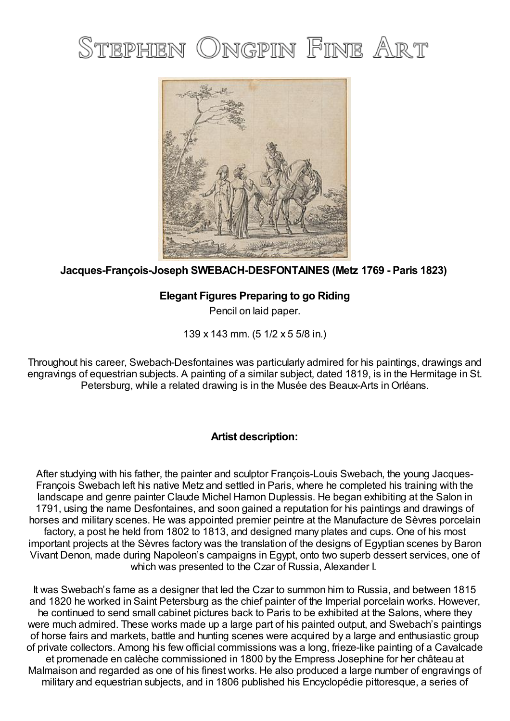## STEPHEN ONGPIN FINE ART



## **Jacques-François-Joseph SWEBACH-DESFONTAINES (Metz 1769 - Paris 1823)**

## **Elegant Figures Preparing to go Riding**

Pencil on laid paper.

139 x 143 mm. (5 1/2 x 5 5/8 in.)

Throughout his career, Swebach-Desfontaines was particularly admired for his paintings, drawings and engravings of equestrian subjects. A painting of a similar subject, dated 1819, is in the Hermitage in St. Petersburg, while a related drawing is in the Musée des Beaux-Arts inOrléans.

## **Artist description:**

After studying with his father, the painter and sculptor François-Louis Swebach, the young Jacques-François Swebach left his native Metz and settled in Paris, where he completed his training with the landscape and genre painter Claude Michel Hamon Duplessis. He began exhibiting at the Salon in 1791, using the name Desfontaines, and soon gained a reputation for his paintings and drawings of horses and military scenes. He was appointed premier peintre at the Manufacture de Sèvres porcelain factory, a post he held from 1802 to 1813, and designed many plates and cups. One of his most important projects at the Sèvres factory was the translation of the designs of Egyptian scenes by Baron Vivant Denon, made during Napoleon's campaigns in Egypt, onto two superb dessert services, one of which was presented to the Czar of Russia, Alexander I.

It was Swebach's fame as a designer that led the Czar to summon him to Russia, and between 1815 and 1820 he worked in Saint Petersburg as the chief painter of the Imperial porcelain works. However, he continued to send small cabinet pictures back to Paris to be exhibited at the Salons, where they were much admired. These works made up a large part of his painted output, and Swebach's paintings of horse fairs and markets, battle and hunting scenes were acquired by a large and enthusiastic group of private collectors. Among his few official commissions was a long, frieze-like painting of a Cavalcade et promenade en calèche commissioned in 1800 by the Empress Josephine for her château at Malmaison and regarded as one of his finest works. He also produced a large number of engravings of military and equestrian subjects, and in 1806 published his Encyclopédie pittoresque, a series of